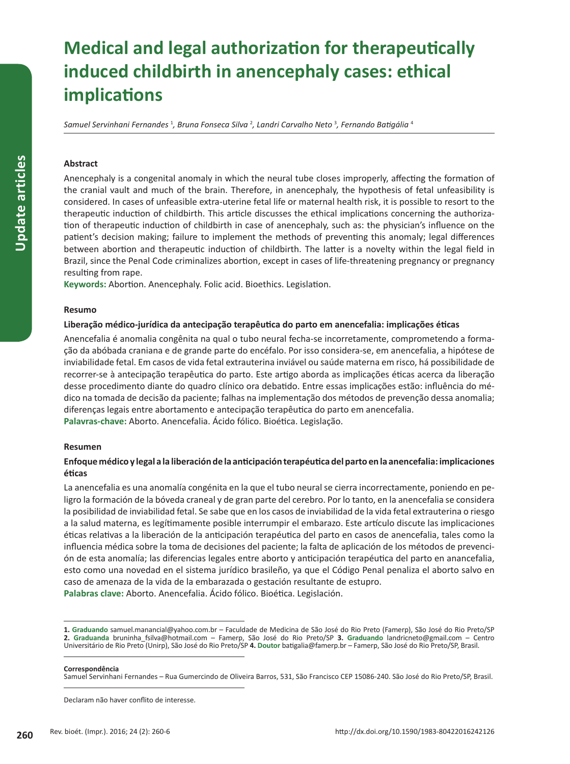# **Medical and legal authorization for therapeutically induced childbirth in anencephaly cases: ethical implications**

*Samuel Servinhani Fernandes* <sup>1</sup> *, Bruna Fonseca Silva* <sup>2</sup> *, Landri Carvalho Neto* <sup>3</sup> *, Fernando Batigália* <sup>4</sup>

## **Abstract**

Anencephaly is a congenital anomaly in which the neural tube closes improperly, affecting the formation of the cranial vault and much of the brain. Therefore, in anencephaly, the hypothesis of fetal unfeasibility is considered. In cases of unfeasible extra-uterine fetal life or maternal health risk, it is possible to resort to the therapeutic induction of childbirth. This article discusses the ethical implications concerning the authorization of therapeutic induction of childbirth in case of anencephaly, such as: the physician's influence on the patient's decision making; failure to implement the methods of preventing this anomaly; legal differences between abortion and therapeutic induction of childbirth. The latter is a novelty within the legal field in Brazil, since the Penal Code criminalizes abortion, except in cases of life-threatening pregnancy or pregnancy resulting from rape.

**Keywords:** Abortion. Anencephaly. Folic acid. Bioethics. Legislation.

#### **Resumo**

## **Liberação médico-jurídica da antecipação terapêutica do parto em anencefalia: implicações éticas**

Anencefalia é anomalia congênita na qual o tubo neural fecha-se incorretamente, comprometendo a formação da abóbada craniana e de grande parte do encéfalo. Por isso considera-se, em anencefalia, a hipótese de inviabilidade fetal. Em casos de vida fetal extrauterina inviável ou saúde materna em risco, há possibilidade de recorrer-se à antecipação terapêutica do parto. Este artigo aborda as implicações éticas acerca da liberação desse procedimento diante do quadro clínico ora debatido. Entre essas implicações estão: influência do médico na tomada de decisão da paciente; falhas na implementação dos métodos de prevenção dessa anomalia; diferenças legais entre abortamento e antecipação terapêutica do parto em anencefalia. **Palavras-chave:** Aborto. Anencefalia. Ácido fólico. Bioética. Legislação.

#### **Resumen**

# **Enfoque médico y legal a la liberación de la anticipación terapéutica del parto en la anencefalia: implicaciones éticas**

La anencefalia es una anomalía congénita en la que el tubo neural se cierra incorrectamente, poniendo en peligro la formación de la bóveda craneal y de gran parte del cerebro. Por lo tanto, en la anencefalia se considera la posibilidad de inviabilidad fetal. Se sabe que en los casos de inviabilidad de la vida fetal extrauterina o riesgo a la salud materna, es legítimamente posible interrumpir el embarazo. Este artículo discute las implicaciones éticas relativas a la liberación de la anticipación terapéutica del parto en casos de anencefalia, tales como la influencia médica sobre la toma de decisiones del paciente; la falta de aplicación de los métodos de prevención de esta anomalía; las diferencias legales entre aborto y anticipación terapéutica del parto en anancefalia, esto como una novedad en el sistema jurídico brasileño, ya que el Código Penal penaliza el aborto salvo en caso de amenaza de la vida de la embarazada o gestación resultante de estupro.

**Palabras clave:** Aborto. Anencefalia. Ácido fólico. Bioética. Legislación.

#### **Correspondência**

Samuel Servinhani Fernandes – Rua Gumercindo de Oliveira Barros, 531, São Francisco CEP 15086-240. São José do Rio Preto/SP, Brasil.

Declaram não haver conflito de interesse.

**<sup>1.</sup> Graduando** samuel.manancial@yahoo.com.br – Faculdade de Medicina de São José do Rio Preto (Famerp), São José do Rio Preto/SP **2. Graduanda** bruninha\_fsilva@hotmail.com – Famerp, São José do Rio Preto/SP **3. Graduando** landricneto@gmail.com – Centro Universitário de Rio Preto (Unirp), São José do Rio Preto/SP **4. Doutor** batigalia@famerp.br – Famerp, São José do Rio Preto/SP, Brasil.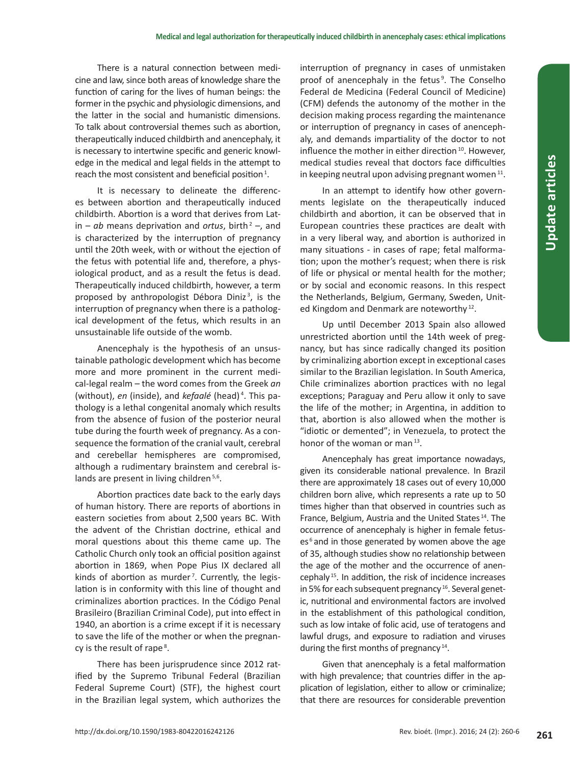There is a natural connection between medicine and law, since both areas of knowledge share the function of caring for the lives of human beings: the former in the psychic and physiologic dimensions, and the latter in the social and humanistic dimensions. To talk about controversial themes such as abortion, therapeutically induced childbirth and anencephaly, it is necessary to intertwine specific and generic knowledge in the medical and legal fields in the attempt to reach the most consistent and beneficial position<sup>1</sup>.

It is necessary to delineate the differences between abortion and therapeutically induced childbirth. Abortion is a word that derives from Latin  $-\infty$  means deprivation and *ortus*, birth<sup>2</sup> –, and is characterized by the interruption of pregnancy until the 20th week, with or without the ejection of the fetus with potential life and, therefore, a physiological product, and as a result the fetus is dead. Therapeutically induced childbirth, however, a term proposed by anthropologist Débora Diniz<sup>3</sup>, is the interruption of pregnancy when there is a pathological development of the fetus, which results in an unsustainable life outside of the womb.

Anencephaly is the hypothesis of an unsustainable pathologic development which has become more and more prominent in the current medical-legal realm – the word comes from the Greek *an* (without), *en* (inside), and *kefaalé* (head) 4 . This pathology is a lethal congenital anomaly which results from the absence of fusion of the posterior neural tube during the fourth week of pregnancy. As a consequence the formation of the cranial vault, cerebral and cerebellar hemispheres are compromised, although a rudimentary brainstem and cerebral islands are present in living children<sup>5,6</sup>.

Abortion practices date back to the early days of human history. There are reports of abortions in eastern societies from about 2,500 years BC. With the advent of the Christian doctrine, ethical and moral questions about this theme came up. The Catholic Church only took an official position against abortion in 1869, when Pope Pius IX declared all kinds of abortion as murder<sup>7</sup>. Currently, the legislation is in conformity with this line of thought and criminalizes abortion practices. In the Código Penal Brasileiro (Brazilian Criminal Code), put into effect in 1940, an abortion is a crime except if it is necessary to save the life of the mother or when the pregnancy is the result of rape<sup>8</sup>.

There has been jurisprudence since 2012 ratified by the Supremo Tribunal Federal (Brazilian Federal Supreme Court) (STF), the highest court in the Brazilian legal system, which authorizes the

interruption of pregnancy in cases of unmistaken proof of anencephaly in the fetus<sup>9</sup>. The Conselho Federal de Medicina (Federal Council of Medicine) (CFM) defends the autonomy of the mother in the decision making process regarding the maintenance or interruption of pregnancy in cases of anencephaly, and demands impartiality of the doctor to not influence the mother in either direction<sup>10</sup>. However, medical studies reveal that doctors face difficulties in keeping neutral upon advising pregnant women<sup>11</sup>.

In an attempt to identify how other governments legislate on the therapeutically induced childbirth and abortion, it can be observed that in European countries these practices are dealt with in a very liberal way, and abortion is authorized in many situations - in cases of rape; fetal malformation; upon the mother's request; when there is risk of life or physical or mental health for the mother; or by social and economic reasons. In this respect the Netherlands, Belgium, Germany, Sweden, United Kingdom and Denmark are noteworthy<sup>12</sup>.

Up until December 2013 Spain also allowed unrestricted abortion until the 14th week of pregnancy, but has since radically changed its position by criminalizing abortion except in exceptional cases similar to the Brazilian legislation. In South America, Chile criminalizes abortion practices with no legal exceptions; Paraguay and Peru allow it only to save the life of the mother; in Argentina, in addition to that, abortion is also allowed when the mother is "idiotic or demented"; in Venezuela, to protect the honor of the woman or man<sup>13</sup>.

Anencephaly has great importance nowadays, given its considerable national prevalence. In Brazil there are approximately 18 cases out of every 10,000 children born alive, which represents a rate up to 50 times higher than that observed in countries such as France, Belgium, Austria and the United States<sup>14</sup>. The occurrence of anencephaly is higher in female fetuses<sup>6</sup> and in those generated by women above the age of 35, although studies show no relationship between the age of the mother and the occurrence of anencephaly 15. In addition, the risk of incidence increases in 5% for each subsequent pregnancy<sup>16</sup>. Several genetic, nutritional and environmental factors are involved in the establishment of this pathological condition, such as low intake of folic acid, use of teratogens and lawful drugs, and exposure to radiation and viruses during the first months of pregnancy 14.

Given that anencephaly is a fetal malformation with high prevalence; that countries differ in the application of legislation, either to allow or criminalize; that there are resources for considerable prevention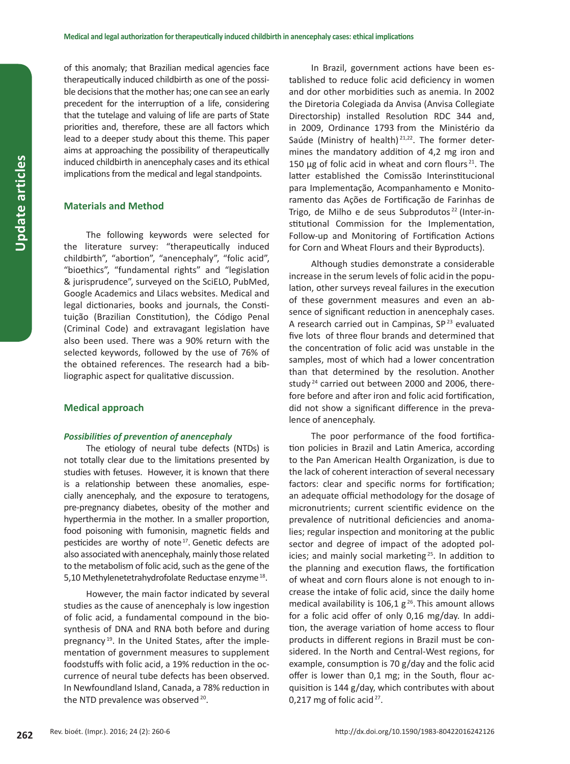of this anomaly; that Brazilian medical agencies face therapeutically induced childbirth as one of the possible decisions that the mother has; one can see an early precedent for the interruption of a life, considering that the tutelage and valuing of life are parts of State priorities and, therefore, these are all factors which lead to a deeper study about this theme. This paper aims at approaching the possibility of therapeutically induced childbirth in anencephaly cases and its ethical implications from the medical and legal standpoints.

## **Materials and Method**

The following keywords were selected for the literature survey: "therapeutically induced childbirth", "abortion", "anencephaly", "folic acid", "bioethics", "fundamental rights" and "legislation & jurisprudence", surveyed on the SciELO, PubMed, Google Academics and Lilacs websites. Medical and legal dictionaries, books and journals, the Constituição (Brazilian Constitution), the Código Penal (Criminal Code) and extravagant legislation have also been used. There was a 90% return with the selected keywords, followed by the use of 76% of the obtained references. The research had a bibliographic aspect for qualitative discussion.

#### **Medical approach**

#### *Possibilities of prevention of anencephaly*

The etiology of neural tube defects (NTDs) is not totally clear due to the limitations presented by studies with fetuses. However, it is known that there is a relationship between these anomalies, especially anencephaly, and the exposure to teratogens, pre-pregnancy diabetes, obesity of the mother and hyperthermia in the mother. In a smaller proportion, food poisoning with fumonisin, magnetic fields and pesticides are worthy of note<sup>17</sup>. Genetic defects are also associated with anencephaly, mainly those related to the metabolism of folic acid, such as the gene of the 5,10 Methylenetetrahydrofolate Reductase enzyme<sup>18</sup>.

However, the main factor indicated by several studies as the cause of anencephaly is low ingestion of folic acid, a fundamental compound in the biosynthesis of DNA and RNA both before and during pregnancy<sup>19</sup>. In the United States, after the implementation of government measures to supplement foodstuffs with folic acid, a 19% reduction in the occurrence of neural tube defects has been observed. In Newfoundland Island, Canada, a 78% reduction in the NTD prevalence was observed<sup>20</sup>.

In Brazil, government actions have been established to reduce folic acid deficiency in women and dor other morbidities such as anemia. In 2002 the Diretoria Colegiada da Anvisa (Anvisa Collegiate Directorship) installed Resolution RDC 344 and, in 2009, Ordinance 1793 from the Ministério da Saúde (Ministry of health)<sup>21,22</sup>. The former determines the mandatory addition of 4,2 mg iron and 150  $\mu$ g of folic acid in wheat and corn flours<sup>21</sup>. The latter established the Comissão Interinstitucional para Implementação, Acompanhamento e Monitoramento das Ações de Fortificação de Farinhas de Trigo, de Milho e de seus Subprodutos<sup>22</sup> (Inter-institutional Commission for the Implementation, Follow-up and Monitoring of Fortification Actions for Corn and Wheat Flours and their Byproducts).

Although studies demonstrate a considerable increase in the serum levels of folic acidin the population, other surveys reveal failures in the execution of these government measures and even an absence of significant reduction in anencephaly cases. A research carried out in Campinas, SP<sup>23</sup> evaluated five lots of three flour brands and determined that the concentration of folic acid was unstable in the samples, most of which had a lower concentration than that determined by the resolution. Another study<sup>24</sup> carried out between 2000 and 2006, therefore before and after iron and folic acid fortification, did not show a significant difference in the prevalence of anencephaly.

The poor performance of the food fortification policies in Brazil and Latin America, according to the Pan American Health Organization, is due to the lack of coherent interaction of several necessary factors: clear and specific norms for fortification; an adequate official methodology for the dosage of micronutrients; current scientific evidence on the prevalence of nutritional deficiencies and anomalies; regular inspection and monitoring at the public sector and degree of impact of the adopted policies; and mainly social marketing <sup>25</sup>. In addition to the planning and execution flaws, the fortification of wheat and corn flours alone is not enough to increase the intake of folic acid, since the daily home medical availability is 106,1  $g^{26}$ . This amount allows for a folic acid offer of only 0,16 mg/day. In addition, the average variation of home access to flour products in different regions in Brazil must be considered. In the North and Central-West regions, for example, consumption is 70 g/day and the folic acid offer is lower than 0,1 mg; in the South, flour acquisition is 144 g/day, which contributes with about 0,217 mg of folic acid $27$ .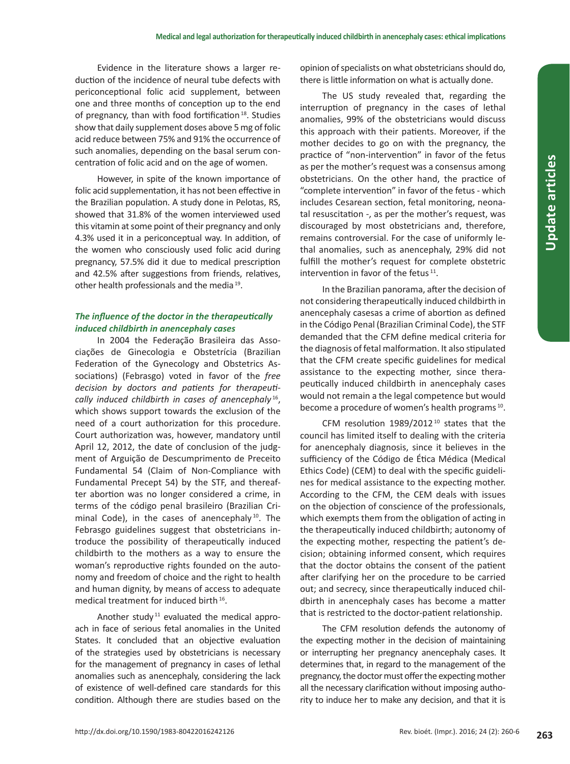Evidence in the literature shows a larger reduction of the incidence of neural tube defects with periconceptional folic acid supplement, between one and three months of conception up to the end of pregnancy, than with food fortification 18. Studies show that daily supplement doses above 5 mg of folic acid reduce between 75% and 91% the occurrence of such anomalies, depending on the basal serum concentration of folic acid and on the age of women.

However, in spite of the known importance of folic acid supplementation, it has not been effective in the Brazilian population. A study done in Pelotas, RS, showed that 31.8% of the women interviewed used this vitamin at some point of their pregnancy and only 4.3% used it in a periconceptual way. In addition, of the women who consciously used folic acid during pregnancy, 57.5% did it due to medical prescription and 42.5% after suggestions from friends, relatives, other health professionals and the media 19.

# *The influence of the doctor in the therapeutically induced childbirth in anencephaly cases*

In 2004 the Federação Brasileira das Associações de Ginecologia e Obstetrícia (Brazilian Federation of the Gynecology and Obstetrics Associations) (Febrasgo) voted in favor of the *free decision by doctors and patients for therapeutically induced childbirth in cases of anencephaly* <sup>16</sup>, which shows support towards the exclusion of the need of a court authorization for this procedure. Court authorization was, however, mandatory until April 12, 2012, the date of conclusion of the judgment of Arguição de Descumprimento de Preceito Fundamental 54 (Claim of Non-Compliance with Fundamental Precept 54) by the STF, and thereafter abortion was no longer considered a crime, in terms of the código penal brasileiro (Brazilian Criminal Code), in the cases of anencephaly<sup>10</sup>. The Febrasgo guidelines suggest that obstetricians introduce the possibility of therapeutically induced childbirth to the mothers as a way to ensure the woman's reproductive rights founded on the autonomy and freedom of choice and the right to health and human dignity, by means of access to adequate medical treatment for induced birth<sup>16</sup>.

Another study<sup>11</sup> evaluated the medical approach in face of serious fetal anomalies in the United States. It concluded that an objective evaluation of the strategies used by obstetricians is necessary for the management of pregnancy in cases of lethal anomalies such as anencephaly, considering the lack of existence of well-defined care standards for this condition. Although there are studies based on the

opinion of specialists on what obstetricians should do, there is little information on what is actually done.

The US study revealed that, regarding the interruption of pregnancy in the cases of lethal anomalies, 99% of the obstetricians would discuss this approach with their patients. Moreover, if the mother decides to go on with the pregnancy, the practice of "non-intervention" in favor of the fetus as per the mother's request was a consensus among obstetricians. On the other hand, the practice of "complete intervention" in favor of the fetus - which includes Cesarean section, fetal monitoring, neonatal resuscitation -, as per the mother's request, was discouraged by most obstetricians and, therefore, remains controversial. For the case of uniformly lethal anomalies, such as anencephaly, 29% did not fulfill the mother's request for complete obstetric intervention in favor of the fetus<sup>11</sup>.

In the Brazilian panorama, after the decision of not considering therapeutically induced childbirth in anencephaly casesas a crime of abortion as defined in the Código Penal (Brazilian Criminal Code), the STF demanded that the CFM define medical criteria for the diagnosis of fetal malformation. It also stipulated that the CFM create specific guidelines for medical assistance to the expecting mother, since therapeutically induced childbirth in anencephaly cases would not remain a the legal competence but would become a procedure of women's health programs<sup>10</sup>.

CFM resolution  $1989/2012^{10}$  states that the council has limited itself to dealing with the criteria for anencephaly diagnosis, since it believes in the sufficiency of the Código de Ética Médica (Medical Ethics Code) (CEM) to deal with the specific guidelines for medical assistance to the expecting mother. According to the CFM, the CEM deals with issues on the objection of conscience of the professionals, which exempts them from the obligation of acting in the therapeutically induced childbirth; autonomy of the expecting mother, respecting the patient's decision; obtaining informed consent, which requires that the doctor obtains the consent of the patient after clarifying her on the procedure to be carried out; and secrecy, since therapeutically induced childbirth in anencephaly cases has become a matter that is restricted to the doctor-patient relationship.

The CFM resolution defends the autonomy of the expecting mother in the decision of maintaining or interrupting her pregnancy anencephaly cases. It determines that, in regard to the management of the pregnancy, the doctor must offer the expecting mother all the necessary clarification without imposing authority to induce her to make any decision, and that it is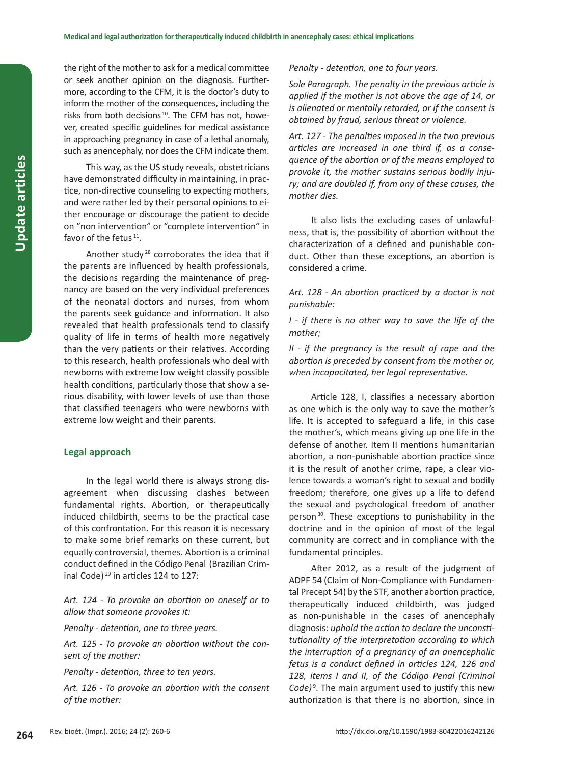the right of the mother to ask for a medical committee or seek another opinion on the diagnosis. Furthermore, according to the CFM, it is the doctor's duty to inform the mother of the consequences, including the risks from both decisions 10. The CFM has not, however, created specific guidelines for medical assistance in approaching pregnancy in case of a lethal anomaly, such as anencephaly, nor does the CFM indicate them.

This way, as the US study reveals, obstetricians have demonstrated difficulty in maintaining, in practice, non-directive counseling to expecting mothers, and were rather led by their personal opinions to either encourage or discourage the patient to decide on "non intervention" or "complete intervention" in favor of the fetus  $11$ .

Another study <sup>28</sup> corroborates the idea that if the parents are influenced by health professionals, the decisions regarding the maintenance of pregnancy are based on the very individual preferences of the neonatal doctors and nurses, from whom the parents seek guidance and information. It also revealed that health professionals tend to classify quality of life in terms of health more negatively than the very patients or their relatives. According to this research, health professionals who deal with newborns with extreme low weight classify possible health conditions, particularly those that show a serious disability, with lower levels of use than those that classified teenagers who were newborns with extreme low weight and their parents.

#### **Legal approach**

In the legal world there is always strong disagreement when discussing clashes between fundamental rights. Abortion, or therapeutically induced childbirth, seems to be the practical case of this confrontation. For this reason it is necessary to make some brief remarks on these current, but equally controversial, themes. Abortion is a criminal conduct defined in the Código Penal (Brazilian Criminal Code)<sup>29</sup> in articles 124 to 127:

*Art. 124 - To provoke an abortion on oneself or to allow that someone provokes it:*

*Penalty - detention, one to three years.*

*Art. 125 - To provoke an abortion without the consent of the mother:*

*Penalty - detention, three to ten years.*

*Art. 126 - To provoke an abortion with the consent of the mother:*

*Penalty - detention, one to four years.*

*Sole Paragraph. The penalty in the previous article is applied if the mother is not above the age of 14, or is alienated or mentally retarded, or if the consent is obtained by fraud, serious threat or violence.* 

*Art. 127 - The penalties imposed in the two previous articles are increased in one third if, as a consequence of the abortion or of the means employed to provoke it, the mother sustains serious bodily injury; and are doubled if, from any of these causes, the mother dies.*

It also lists the excluding cases of unlawfulness, that is, the possibility of abortion without the characterization of a defined and punishable conduct. Other than these exceptions, an abortion is considered a crime.

*Art. 128 - An abortion practiced by a doctor is not punishable:*

*I - if there is no other way to save the life of the mother;*

*II - if the pregnancy is the result of rape and the abortion is preceded by consent from the mother or, when incapacitated, her legal representative.*

Article 128, I, classifies a necessary abortion as one which is the only way to save the mother's life. It is accepted to safeguard a life, in this case the mother's, which means giving up one life in the defense of another. Item II mentions humanitarian abortion, a non-punishable abortion practice since it is the result of another crime, rape, a clear violence towards a woman's right to sexual and bodily freedom; therefore, one gives up a life to defend the sexual and psychological freedom of another person 30. These exceptions to punishability in the doctrine and in the opinion of most of the legal community are correct and in compliance with the fundamental principles.

After 2012, as a result of the judgment of ADPF 54 (Claim of Non-Compliance with Fundamental Precept 54) by the STF, another abortion practice, therapeutically induced childbirth, was judged as non-punishable in the cases of anencephaly diagnosis: *uphold the action to declare the unconstitutionality of the interpretation according to which the interruption of a pregnancy of an anencephalic fetus is a conduct defined in articles 124, 126 and 128, items I and II, of the Código Penal (Criminal*  Code)<sup>9</sup>. The main argument used to justify this new authorization is that there is no abortion, since in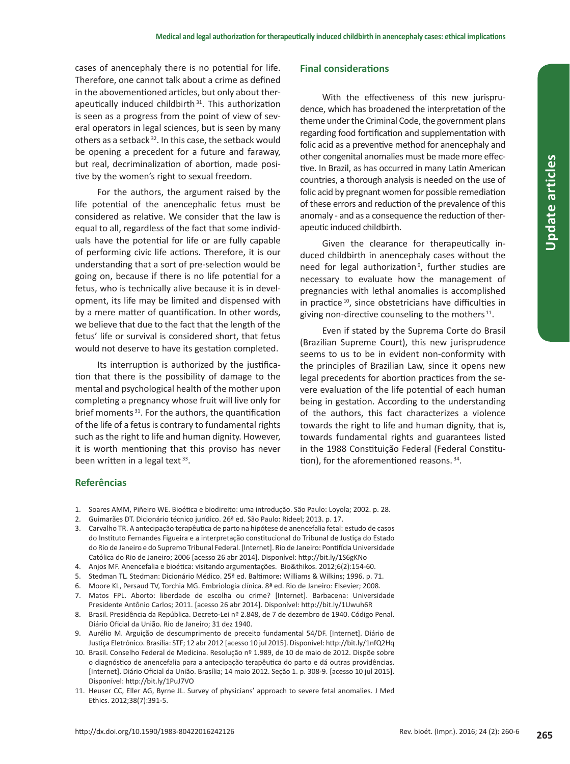cases of anencephaly there is no potential for life. Therefore, one cannot talk about a crime as defined in the abovementioned articles, but only about therapeutically induced childbirth 31. This authorization is seen as a progress from the point of view of several operators in legal sciences, but is seen by many others as a setback <sup>32</sup>. In this case, the setback would be opening a precedent for a future and faraway, but real, decriminalization of abortion, made positive by the women's right to sexual freedom.

For the authors, the argument raised by the life potential of the anencephalic fetus must be considered as relative. We consider that the law is equal to all, regardless of the fact that some individuals have the potential for life or are fully capable of performing civic life actions. Therefore, it is our understanding that a sort of pre-selection would be going on, because if there is no life potential for a fetus, who is technically alive because it is in development, its life may be limited and dispensed with by a mere matter of quantification. In other words, we believe that due to the fact that the length of the fetus' life or survival is considered short, that fetus would not deserve to have its gestation completed.

Its interruption is authorized by the justification that there is the possibility of damage to the mental and psychological health of the mother upon completing a pregnancy whose fruit will live only for brief moments<sup>31</sup>. For the authors, the quantification of the life of a fetus is contrary to fundamental rights such as the right to life and human dignity. However, it is worth mentioning that this proviso has never been written in a legal text<sup>33</sup>.

# **Final considerations**

With the effectiveness of this new jurisprudence, which has broadened the interpretation of the theme under the Criminal Code, the government plans regarding food fortification and supplementation with folic acid as a preventive method for anencephaly and other congenital anomalies must be made more effective. In Brazil, as has occurred in many Latin American countries, a thorough analysis is needed on the use of folic acid by pregnant women for possible remediation of these errors and reduction of the prevalence of this anomaly - and as a consequence the reduction of therapeutic induced childbirth.

Given the clearance for therapeutically induced childbirth in anencephaly cases without the need for legal authorization<sup>9</sup>, further studies are necessary to evaluate how the management of pregnancies with lethal anomalies is accomplished in practice 10, since obstetricians have difficulties in giving non-directive counseling to the mothers $11$ .

Even if stated by the Suprema Corte do Brasil (Brazilian Supreme Court), this new jurisprudence seems to us to be in evident non-conformity with the principles of Brazilian Law, since it opens new legal precedents for abortion practices from the severe evaluation of the life potential of each human being in gestation. According to the understanding of the authors, this fact characterizes a violence towards the right to life and human dignity, that is, towards fundamental rights and guarantees listed in the 1988 Constituição Federal (Federal Constitution), for the aforementioned reasons. 34.

# **Referências**

- 1. Soares AMM, Piñeiro WE. Bioética e biodireito: uma introdução. São Paulo: Loyola; 2002. p. 28.
- 2. Guimarães DT. Dicionário técnico jurídico. 26ª ed. São Paulo: Rideel; 2013. p. 17.
- 3. Carvalho TR. A antecipação terapêutica de parto na hipótese de anencefalia fetal: estudo de casos do Instituto Fernandes Figueira e a interpretação constitucional do Tribunal de Justiça do Estado do Rio de Janeiro e do Supremo Tribunal Federal. [Internet]. Rio de Janeiro: Pontifícia Universidade Católica do Rio de Janeiro; 2006 [acesso 26 abr 2014]. Disponível: http://bit.ly/1S6gKNo
- 4. Anjos MF. Anencefalia e bioética: visitando argumentações. Bio&thikos. 2012;6(2):154-60.
- 5. Stedman TL. Stedman: Dicionário Médico. 25ª ed. Baltimore: Williams & Wilkins; 1996. p. 71.
- 6. Moore KL, Persaud TV, Torchia MG. Embriologia clínica. 8ª ed. Rio de Janeiro: Elsevier; 2008.
- 7. Matos FPL. Aborto: liberdade de escolha ou crime? [Internet]. Barbacena: Universidade Presidente Antônio Carlos; 2011. [acesso 26 abr 2014]. Disponível: http://bit.ly/1Uwuh6R
- 8. Brasil. Presidência da República. Decreto-Lei nº 2.848, de 7 de dezembro de 1940. Código Penal. Diário Oficial da União. Rio de Janeiro; 31 dez 1940.
- 9. Aurélio M. Arguição de descumprimento de preceito fundamental 54/DF. [Internet]. Diário de Justiça Eletrônico. Brasília: STF; 12 abr 2012 [acesso 10 jul 2015]. Disponível: http://bit.ly/1nfQ2Hq
- 10. Brasil. Conselho Federal de Medicina. Resolução nº 1.989, de 10 de maio de 2012. Dispõe sobre o diagnóstico de anencefalia para a antecipação terapêutica do parto e dá outras providências. [Internet]. Diário Oficial da União. Brasília; 14 maio 2012. Seção 1. p. 308-9. [acesso 10 jul 2015]. Disponível: http://bit.ly/1PuJ7VO
- 11. Heuser CC, Eller AG, Byrne JL. Survey of physicians' approach to severe fetal anomalies. J Med Ethics. 2012;38(7):391-5.